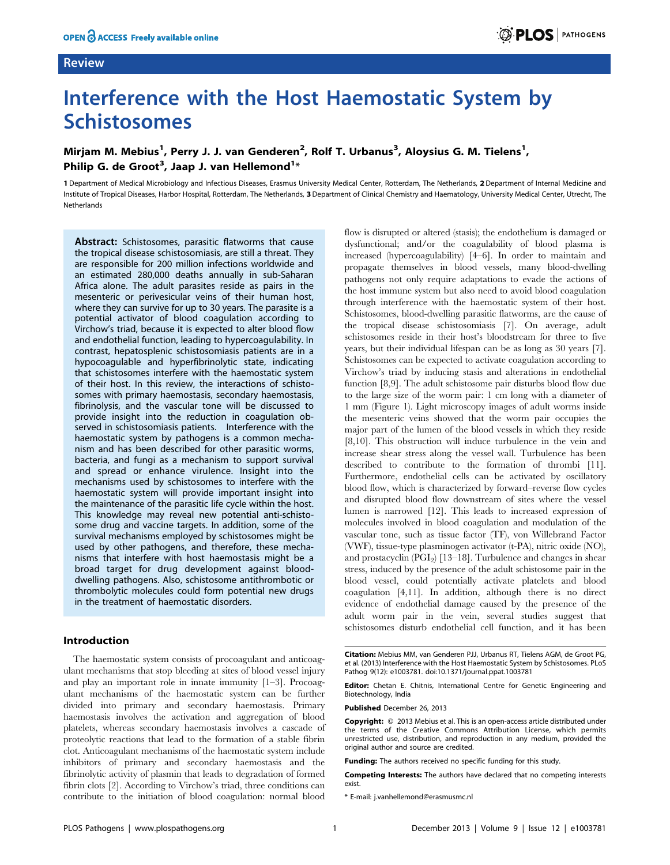# Review

# Interference with the Host Haemostatic System by Schistosomes

# Mirjam M. Mebius<sup>1</sup>, Perry J. J. van Genderen<sup>2</sup>, Rolf T. Urbanus<sup>3</sup>, Aloysius G. M. Tielens<sup>1</sup>, Philip G. de Groot<sup>3</sup>, Jaap J. van Hellemond<sup>1</sup>\*

1 Department of Medical Microbiology and Infectious Diseases, Erasmus University Medical Center, Rotterdam, The Netherlands, 2 Department of Internal Medicine and Institute of Tropical Diseases, Harbor Hospital, Rotterdam, The Netherlands, 3 Department of Clinical Chemistry and Haematology, University Medical Center, Utrecht, The Netherlands

Abstract: Schistosomes, parasitic flatworms that cause the tropical disease schistosomiasis, are still a threat. They are responsible for 200 million infections worldwide and an estimated 280,000 deaths annually in sub-Saharan Africa alone. The adult parasites reside as pairs in the mesenteric or perivesicular veins of their human host, where they can survive for up to 30 years. The parasite is a potential activator of blood coagulation according to Virchow's triad, because it is expected to alter blood flow and endothelial function, leading to hypercoagulability. In contrast, hepatosplenic schistosomiasis patients are in a hypocoagulable and hyperfibrinolytic state, indicating that schistosomes interfere with the haemostatic system of their host. In this review, the interactions of schistosomes with primary haemostasis, secondary haemostasis, fibrinolysis, and the vascular tone will be discussed to provide insight into the reduction in coagulation observed in schistosomiasis patients. Interference with the haemostatic system by pathogens is a common mechanism and has been described for other parasitic worms, bacteria, and fungi as a mechanism to support survival and spread or enhance virulence. Insight into the mechanisms used by schistosomes to interfere with the haemostatic system will provide important insight into the maintenance of the parasitic life cycle within the host. This knowledge may reveal new potential anti-schistosome drug and vaccine targets. In addition, some of the survival mechanisms employed by schistosomes might be used by other pathogens, and therefore, these mechanisms that interfere with host haemostasis might be a broad target for drug development against blooddwelling pathogens. Also, schistosome antithrombotic or thrombolytic molecules could form potential new drugs in the treatment of haemostatic disorders.

#### Introduction

The haemostatic system consists of procoagulant and anticoagulant mechanisms that stop bleeding at sites of blood vessel injury and play an important role in innate immunity [1–3]. Procoagulant mechanisms of the haemostatic system can be further divided into primary and secondary haemostasis. Primary haemostasis involves the activation and aggregation of blood platelets, whereas secondary haemostasis involves a cascade of proteolytic reactions that lead to the formation of a stable fibrin clot. Anticoagulant mechanisms of the haemostatic system include inhibitors of primary and secondary haemostasis and the fibrinolytic activity of plasmin that leads to degradation of formed fibrin clots [2]. According to Virchow's triad, three conditions can contribute to the initiation of blood coagulation: normal blood

flow is disrupted or altered (stasis); the endothelium is damaged or dysfunctional; and/or the coagulability of blood plasma is increased (hypercoagulability) [4–6]. In order to maintain and propagate themselves in blood vessels, many blood-dwelling pathogens not only require adaptations to evade the actions of the host immune system but also need to avoid blood coagulation through interference with the haemostatic system of their host. Schistosomes, blood-dwelling parasitic flatworms, are the cause of the tropical disease schistosomiasis [7]. On average, adult schistosomes reside in their host's bloodstream for three to five years, but their individual lifespan can be as long as 30 years [7]. Schistosomes can be expected to activate coagulation according to Virchow's triad by inducing stasis and alterations in endothelial function [8,9]. The adult schistosome pair disturbs blood flow due to the large size of the worm pair: 1 cm long with a diameter of 1 mm (Figure 1). Light microscopy images of adult worms inside the mesenteric veins showed that the worm pair occupies the major part of the lumen of the blood vessels in which they reside [8,10]. This obstruction will induce turbulence in the vein and increase shear stress along the vessel wall. Turbulence has been described to contribute to the formation of thrombi [11]. Furthermore, endothelial cells can be activated by oscillatory blood flow, which is characterized by forward–reverse flow cycles and disrupted blood flow downstream of sites where the vessel lumen is narrowed [12]. This leads to increased expression of molecules involved in blood coagulation and modulation of the vascular tone, such as tissue factor (TF), von Willebrand Factor (VWF), tissue-type plasminogen activator (t-PA), nitric oxide (NO), and prostacyclin  $(PGI<sub>2</sub>)$  [13–18]. Turbulence and changes in shear stress, induced by the presence of the adult schistosome pair in the blood vessel, could potentially activate platelets and blood coagulation [4,11]. In addition, although there is no direct evidence of endothelial damage caused by the presence of the adult worm pair in the vein, several studies suggest that schistosomes disturb endothelial cell function, and it has been

Editor: Chetan E. Chitnis, International Centre for Genetic Engineering and Biotechnology, India

Published December 26, 2013

Competing Interests: The authors have declared that no competing interests exist.

\* E-mail: j.vanhellemond@erasmusmc.nl

Citation: Mebius MM, van Genderen PJJ, Urbanus RT, Tielens AGM, de Groot PG, et al. (2013) Interference with the Host Haemostatic System by Schistosomes. PLoS Pathog 9(12): e1003781. doi:10.1371/journal.ppat.1003781

**Copyright:** © 2013 Mebius et al. This is an open-access article distributed under the terms of the Creative Commons Attribution License, which permits unrestricted use, distribution, and reproduction in any medium, provided the original author and source are credited.

Funding: The authors received no specific funding for this study.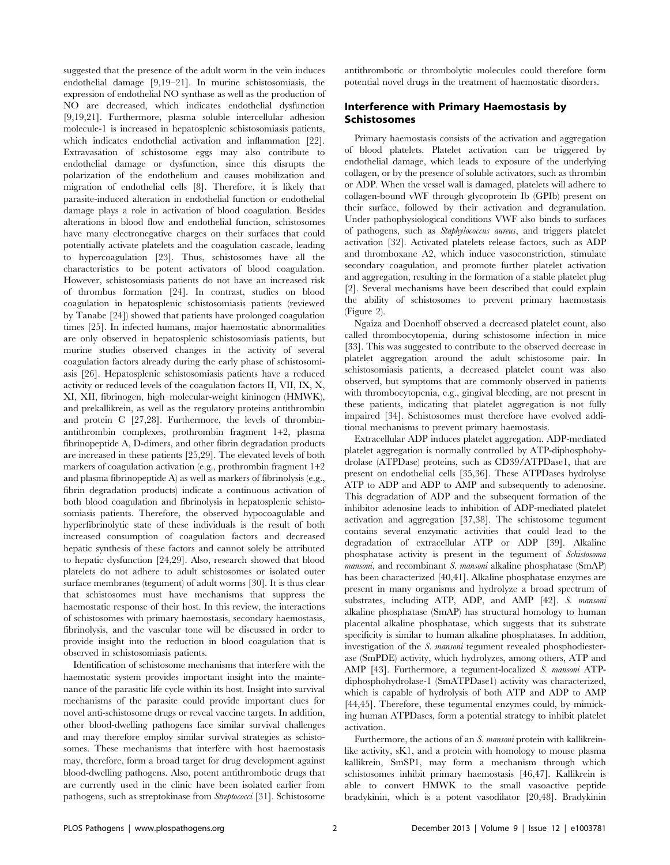suggested that the presence of the adult worm in the vein induces endothelial damage [9,19–21]. In murine schistosomiasis, the expression of endothelial NO synthase as well as the production of NO are decreased, which indicates endothelial dysfunction [9,19,21]. Furthermore, plasma soluble intercellular adhesion molecule-1 is increased in hepatosplenic schistosomiasis patients, which indicates endothelial activation and inflammation [22]. Extravasation of schistosome eggs may also contribute to endothelial damage or dysfunction, since this disrupts the polarization of the endothelium and causes mobilization and migration of endothelial cells [8]. Therefore, it is likely that parasite-induced alteration in endothelial function or endothelial damage plays a role in activation of blood coagulation. Besides alterations in blood flow and endothelial function, schistosomes have many electronegative charges on their surfaces that could potentially activate platelets and the coagulation cascade, leading to hypercoagulation [23]. Thus, schistosomes have all the characteristics to be potent activators of blood coagulation. However, schistosomiasis patients do not have an increased risk of thrombus formation [24]. In contrast, studies on blood coagulation in hepatosplenic schistosomiasis patients (reviewed by Tanabe [24]) showed that patients have prolonged coagulation times [25]. In infected humans, major haemostatic abnormalities are only observed in hepatosplenic schistosomiasis patients, but murine studies observed changes in the activity of several coagulation factors already during the early phase of schistosomiasis [26]. Hepatosplenic schistosomiasis patients have a reduced activity or reduced levels of the coagulation factors II, VII, IX, X, XI, XII, fibrinogen, high–molecular-weight kininogen (HMWK), and prekallikrein, as well as the regulatory proteins antithrombin and protein C [27,28]. Furthermore, the levels of thrombinantithrombin complexes, prothrombin fragment 1+2, plasma fibrinopeptide A, D-dimers, and other fibrin degradation products are increased in these patients [25,29]. The elevated levels of both markers of coagulation activation (e.g., prothrombin fragment 1+2 and plasma fibrinopeptide A) as well as markers of fibrinolysis (e.g., fibrin degradation products) indicate a continuous activation of both blood coagulation and fibrinolysis in hepatosplenic schistosomiasis patients. Therefore, the observed hypocoagulable and hyperfibrinolytic state of these individuals is the result of both increased consumption of coagulation factors and decreased hepatic synthesis of these factors and cannot solely be attributed to hepatic dysfunction [24,29]. Also, research showed that blood platelets do not adhere to adult schistosomes or isolated outer surface membranes (tegument) of adult worms [30]. It is thus clear that schistosomes must have mechanisms that suppress the haemostatic response of their host. In this review, the interactions of schistosomes with primary haemostasis, secondary haemostasis, fibrinolysis, and the vascular tone will be discussed in order to provide insight into the reduction in blood coagulation that is observed in schistosomiasis patients.

Identification of schistosome mechanisms that interfere with the haemostatic system provides important insight into the maintenance of the parasitic life cycle within its host. Insight into survival mechanisms of the parasite could provide important clues for novel anti-schistosome drugs or reveal vaccine targets. In addition, other blood-dwelling pathogens face similar survival challenges and may therefore employ similar survival strategies as schistosomes. These mechanisms that interfere with host haemostasis may, therefore, form a broad target for drug development against blood-dwelling pathogens. Also, potent antithrombotic drugs that are currently used in the clinic have been isolated earlier from pathogens, such as streptokinase from Streptococci [31]. Schistosome

antithrombotic or thrombolytic molecules could therefore form potential novel drugs in the treatment of haemostatic disorders.

#### Interference with Primary Haemostasis by Schistosomes

Primary haemostasis consists of the activation and aggregation of blood platelets. Platelet activation can be triggered by endothelial damage, which leads to exposure of the underlying collagen, or by the presence of soluble activators, such as thrombin or ADP. When the vessel wall is damaged, platelets will adhere to collagen-bound vWF through glycoprotein Ib (GPIb) present on their surface, followed by their activation and degranulation. Under pathophysiological conditions VWF also binds to surfaces of pathogens, such as Staphylococcus aureus, and triggers platelet activation [32]. Activated platelets release factors, such as ADP and thromboxane A2, which induce vasoconstriction, stimulate secondary coagulation, and promote further platelet activation and aggregation, resulting in the formation of a stable platelet plug [2]. Several mechanisms have been described that could explain the ability of schistosomes to prevent primary haemostasis (Figure 2).

Ngaiza and Doenhoff observed a decreased platelet count, also called thrombocytopenia, during schistosome infection in mice [33]. This was suggested to contribute to the observed decrease in platelet aggregation around the adult schistosome pair. In schistosomiasis patients, a decreased platelet count was also observed, but symptoms that are commonly observed in patients with thrombocytopenia, e.g., gingival bleeding, are not present in these patients, indicating that platelet aggregation is not fully impaired [34]. Schistosomes must therefore have evolved additional mechanisms to prevent primary haemostasis.

Extracellular ADP induces platelet aggregation. ADP-mediated platelet aggregation is normally controlled by ATP-diphosphohydrolase (ATPDase) proteins, such as CD39/ATPDase1, that are present on endothelial cells [35,36]. These ATPDases hydrolyse ATP to ADP and ADP to AMP and subsequently to adenosine. This degradation of ADP and the subsequent formation of the inhibitor adenosine leads to inhibition of ADP-mediated platelet activation and aggregation [37,38]. The schistosome tegument contains several enzymatic activities that could lead to the degradation of extracellular ATP or ADP [39]. Alkaline phosphatase activity is present in the tegument of Schistosoma mansoni, and recombinant S. mansoni alkaline phosphatase (SmAP) has been characterized [40,41]. Alkaline phosphatase enzymes are present in many organisms and hydrolyze a broad spectrum of substrates, including ATP, ADP, and AMP [42]. S. mansoni alkaline phosphatase (SmAP) has structural homology to human placental alkaline phosphatase, which suggests that its substrate specificity is similar to human alkaline phosphatases. In addition, investigation of the S. mansoni tegument revealed phosphodiesterase (SmPDE) activity, which hydrolyzes, among others, ATP and AMP [43]. Furthermore, a tegument-localized S. mansoni ATPdiphosphohydrolase-1 (SmATPDase1) activity was characterized, which is capable of hydrolysis of both ATP and ADP to AMP [44,45]. Therefore, these tegumental enzymes could, by mimicking human ATPDases, form a potential strategy to inhibit platelet activation.

Furthermore, the actions of an S. mansoni protein with kallikreinlike activity, sK1, and a protein with homology to mouse plasma kallikrein, SmSP1, may form a mechanism through which schistosomes inhibit primary haemostasis [46,47]. Kallikrein is able to convert HMWK to the small vasoactive peptide bradykinin, which is a potent vasodilator [20,48]. Bradykinin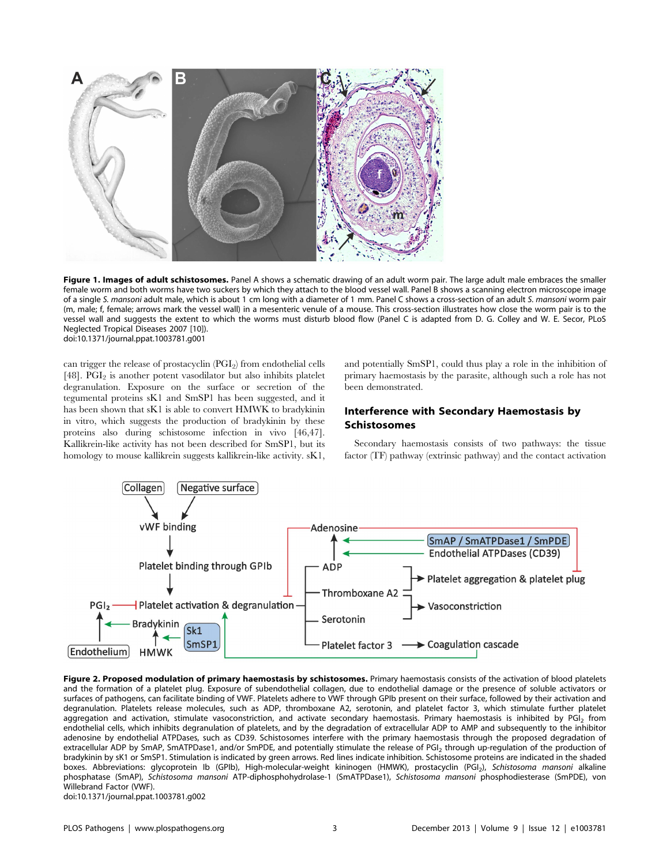

Figure 1. Images of adult schistosomes. Panel A shows a schematic drawing of an adult worm pair. The large adult male embraces the smaller female worm and both worms have two suckers by which they attach to the blood vessel wall. Panel B shows a scanning electron microscope image of a single S. mansoni adult male, which is about 1 cm long with a diameter of 1 mm. Panel C shows a cross-section of an adult S. mansoni worm pair (m, male; f, female; arrows mark the vessel wall) in a mesenteric venule of a mouse. This cross-section illustrates how close the worm pair is to the vessel wall and suggests the extent to which the worms must disturb blood flow (Panel C is adapted from D. G. Colley and W. E. Secor, PLoS Neglected Tropical Diseases 2007 [10]). doi:10.1371/journal.ppat.1003781.g001

can trigger the release of prostacyclin (PGI<sub>2</sub>) from endothelial cells [48].  $\widetilde{PGI}_2$  is another potent vasodilator but also inhibits platelet degranulation. Exposure on the surface or secretion of the tegumental proteins sK1 and SmSP1 has been suggested, and it has been shown that sK1 is able to convert HMWK to bradykinin in vitro, which suggests the production of bradykinin by these proteins also during schistosome infection in vivo [46,47]. Kallikrein-like activity has not been described for SmSP1, but its homology to mouse kallikrein suggests kallikrein-like activity. sK1, and potentially SmSP1, could thus play a role in the inhibition of primary haemostasis by the parasite, although such a role has not been demonstrated.

# Interference with Secondary Haemostasis by Schistosomes

Secondary haemostasis consists of two pathways: the tissue factor (TF) pathway (extrinsic pathway) and the contact activation



Figure 2. Proposed modulation of primary haemostasis by schistosomes. Primary haemostasis consists of the activation of blood platelets and the formation of a platelet plug. Exposure of subendothelial collagen, due to endothelial damage or the presence of soluble activators or surfaces of pathogens, can facilitate binding of VWF. Platelets adhere to VWF through GPIb present on their surface, followed by their activation and degranulation. Platelets release molecules, such as ADP, thromboxane A2, serotonin, and platelet factor 3, which stimulate further platelet aggregation and activation, stimulate vasoconstriction, and activate secondary haemostasis. Primary haemostasis is inhibited by PGI<sub>2</sub> from endothelial cells, which inhibits degranulation of platelets, and by the degradation of extracellular ADP to AMP and subsequently to the inhibitor adenosine by endothelial ATPDases, such as CD39. Schistosomes interfere with the primary haemostasis through the proposed degradation of extracellular ADP by SmAP, SmATPDase1, and/or SmPDE, and potentially stimulate the release of PGI<sub>2</sub> through up-regulation of the production of bradykinin by sK1 or SmSP1. Stimulation is indicated by green arrows. Red lines indicate inhibition. Schistosome proteins are indicated in the shaded boxes. Abbreviations: glycoprotein Ib (GPIb), High-molecular-weight kininogen (HMWK), prostacyclin (PGI<sub>2</sub>), Schistosoma mansoni alkaline phosphatase (SmAP), Schistosoma mansoni ATP-diphosphohydrolase-1 (SmATPDase1), Schistosoma mansoni phosphodiesterase (SmPDE), von Willebrand Factor (VWF).

doi:10.1371/journal.ppat.1003781.g002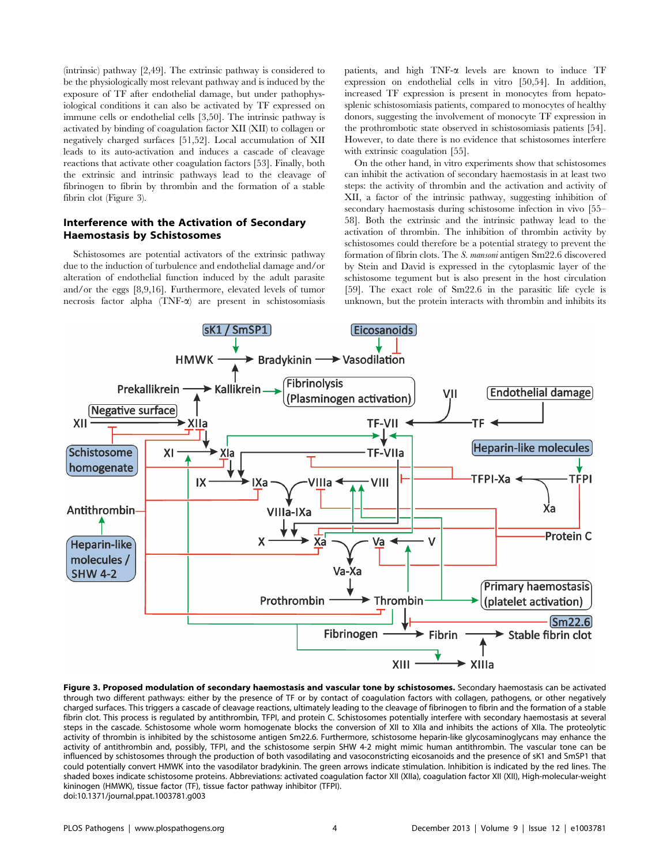(intrinsic) pathway [2,49]. The extrinsic pathway is considered to be the physiologically most relevant pathway and is induced by the exposure of TF after endothelial damage, but under pathophysiological conditions it can also be activated by TF expressed on immune cells or endothelial cells [3,50]. The intrinsic pathway is activated by binding of coagulation factor XII (XII) to collagen or negatively charged surfaces [51,52]. Local accumulation of XII leads to its auto-activation and induces a cascade of cleavage reactions that activate other coagulation factors [53]. Finally, both the extrinsic and intrinsic pathways lead to the cleavage of fibrinogen to fibrin by thrombin and the formation of a stable fibrin clot (Figure 3).

#### Interference with the Activation of Secondary Haemostasis by Schistosomes

Schistosomes are potential activators of the extrinsic pathway due to the induction of turbulence and endothelial damage and/or alteration of endothelial function induced by the adult parasite and/or the eggs [8,9,16]. Furthermore, elevated levels of tumor necrosis factor alpha  $(TNF-\alpha)$  are present in schistosomiasis patients, and high TNF-a levels are known to induce TF expression on endothelial cells in vitro [50,54]. In addition, increased TF expression is present in monocytes from hepatosplenic schistosomiasis patients, compared to monocytes of healthy donors, suggesting the involvement of monocyte TF expression in the prothrombotic state observed in schistosomiasis patients [54]. However, to date there is no evidence that schistosomes interfere with extrinsic coagulation [55].

On the other hand, in vitro experiments show that schistosomes can inhibit the activation of secondary haemostasis in at least two steps: the activity of thrombin and the activation and activity of XII, a factor of the intrinsic pathway, suggesting inhibition of secondary haemostasis during schistosome infection in vivo [55– 58]. Both the extrinsic and the intrinsic pathway lead to the activation of thrombin. The inhibition of thrombin activity by schistosomes could therefore be a potential strategy to prevent the formation of fibrin clots. The S. mansoni antigen Sm22.6 discovered by Stein and David is expressed in the cytoplasmic layer of the schistosome tegument but is also present in the host circulation [59]. The exact role of Sm22.6 in the parasitic life cycle is unknown, but the protein interacts with thrombin and inhibits its



Figure 3. Proposed modulation of secondary haemostasis and vascular tone by schistosomes. Secondary haemostasis can be activated through two different pathways: either by the presence of TF or by contact of coagulation factors with collagen, pathogens, or other negatively charged surfaces. This triggers a cascade of cleavage reactions, ultimately leading to the cleavage of fibrinogen to fibrin and the formation of a stable fibrin clot. This process is regulated by antithrombin, TFPI, and protein C. Schistosomes potentially interfere with secondary haemostasis at several steps in the cascade. Schistosome whole worm homogenate blocks the conversion of XII to XIIa and inhibits the actions of XIIa. The proteolytic activity of thrombin is inhibited by the schistosome antigen Sm22.6. Furthermore, schistosome heparin-like glycosaminoglycans may enhance the activity of antithrombin and, possibly, TFPI, and the schistosome serpin SHW 4-2 might mimic human antithrombin. The vascular tone can be influenced by schistosomes through the production of both vasodilating and vasoconstricting eicosanoids and the presence of sK1 and SmSP1 that could potentially convert HMWK into the vasodilator bradykinin. The green arrows indicate stimulation. Inhibition is indicated by the red lines. The shaded boxes indicate schistosome proteins. Abbreviations: activated coagulation factor XII (XIIa), coagulation factor XII (XII), High-molecular-weight kininogen (HMWK), tissue factor (TF), tissue factor pathway inhibitor (TFPI). doi:10.1371/journal.ppat.1003781.g003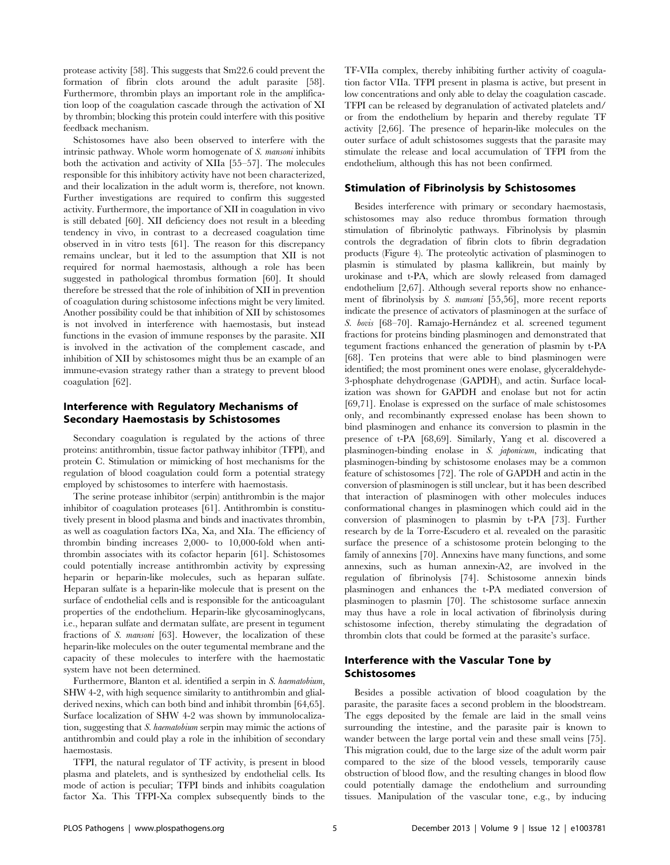protease activity [58]. This suggests that Sm22.6 could prevent the formation of fibrin clots around the adult parasite [58]. Furthermore, thrombin plays an important role in the amplification loop of the coagulation cascade through the activation of XI by thrombin; blocking this protein could interfere with this positive feedback mechanism.

Schistosomes have also been observed to interfere with the intrinsic pathway. Whole worm homogenate of S. mansoni inhibits both the activation and activity of XIIa [55–57]. The molecules responsible for this inhibitory activity have not been characterized, and their localization in the adult worm is, therefore, not known. Further investigations are required to confirm this suggested activity. Furthermore, the importance of XII in coagulation in vivo is still debated [60]. XII deficiency does not result in a bleeding tendency in vivo, in contrast to a decreased coagulation time observed in in vitro tests [61]. The reason for this discrepancy remains unclear, but it led to the assumption that XII is not required for normal haemostasis, although a role has been suggested in pathological thrombus formation [60]. It should therefore be stressed that the role of inhibition of XII in prevention of coagulation during schistosome infections might be very limited. Another possibility could be that inhibition of XII by schistosomes is not involved in interference with haemostasis, but instead functions in the evasion of immune responses by the parasite. XII is involved in the activation of the complement cascade, and inhibition of XII by schistosomes might thus be an example of an immune-evasion strategy rather than a strategy to prevent blood coagulation [62].

### Interference with Regulatory Mechanisms of Secondary Haemostasis by Schistosomes

Secondary coagulation is regulated by the actions of three proteins: antithrombin, tissue factor pathway inhibitor (TFPI), and protein C. Stimulation or mimicking of host mechanisms for the regulation of blood coagulation could form a potential strategy employed by schistosomes to interfere with haemostasis.

The serine protease inhibitor (serpin) antithrombin is the major inhibitor of coagulation proteases [61]. Antithrombin is constitutively present in blood plasma and binds and inactivates thrombin, as well as coagulation factors IXa, Xa, and XIa. The efficiency of thrombin binding increases 2,000- to 10,000-fold when antithrombin associates with its cofactor heparin [61]. Schistosomes could potentially increase antithrombin activity by expressing heparin or heparin-like molecules, such as heparan sulfate. Heparan sulfate is a heparin-like molecule that is present on the surface of endothelial cells and is responsible for the anticoagulant properties of the endothelium. Heparin-like glycosaminoglycans, i.e., heparan sulfate and dermatan sulfate, are present in tegument fractions of S. mansoni [63]. However, the localization of these heparin-like molecules on the outer tegumental membrane and the capacity of these molecules to interfere with the haemostatic system have not been determined.

Furthermore, Blanton et al. identified a serpin in S. haematobium, SHW 4-2, with high sequence similarity to antithrombin and glialderived nexins, which can both bind and inhibit thrombin [64,65]. Surface localization of SHW 4-2 was shown by immunolocalization, suggesting that S. haematobium serpin may mimic the actions of antithrombin and could play a role in the inhibition of secondary haemostasis.

TFPI, the natural regulator of TF activity, is present in blood plasma and platelets, and is synthesized by endothelial cells. Its mode of action is peculiar; TFPI binds and inhibits coagulation factor Xa. This TFPI-Xa complex subsequently binds to the

TF-VIIa complex, thereby inhibiting further activity of coagulation factor VIIa. TFPI present in plasma is active, but present in low concentrations and only able to delay the coagulation cascade. TFPI can be released by degranulation of activated platelets and/ or from the endothelium by heparin and thereby regulate TF activity [2,66]. The presence of heparin-like molecules on the outer surface of adult schistosomes suggests that the parasite may stimulate the release and local accumulation of TFPI from the endothelium, although this has not been confirmed.

#### Stimulation of Fibrinolysis by Schistosomes

Besides interference with primary or secondary haemostasis, schistosomes may also reduce thrombus formation through stimulation of fibrinolytic pathways. Fibrinolysis by plasmin controls the degradation of fibrin clots to fibrin degradation products (Figure 4). The proteolytic activation of plasminogen to plasmin is stimulated by plasma kallikrein, but mainly by urokinase and t-PA, which are slowly released from damaged endothelium [2,67]. Although several reports show no enhancement of fibrinolysis by S. mansoni [55,56], more recent reports indicate the presence of activators of plasminogen at the surface of S. bovis [68–70]. Ramajo-Hernández et al. screened tegument fractions for proteins binding plasminogen and demonstrated that tegument fractions enhanced the generation of plasmin by t-PA [68]. Ten proteins that were able to bind plasminogen were identified; the most prominent ones were enolase, glyceraldehyde-3-phosphate dehydrogenase (GAPDH), and actin. Surface localization was shown for GAPDH and enolase but not for actin [69,71]. Enolase is expressed on the surface of male schistosomes only, and recombinantly expressed enolase has been shown to bind plasminogen and enhance its conversion to plasmin in the presence of t-PA [68,69]. Similarly, Yang et al. discovered a plasminogen-binding enolase in S. japonicum, indicating that plasminogen-binding by schistosome enolases may be a common feature of schistosomes [72]. The role of GAPDH and actin in the conversion of plasminogen is still unclear, but it has been described that interaction of plasminogen with other molecules induces conformational changes in plasminogen which could aid in the conversion of plasminogen to plasmin by t-PA [73]. Further research by de la Torre-Escudero et al. revealed on the parasitic surface the presence of a schistosome protein belonging to the family of annexins [70]. Annexins have many functions, and some annexins, such as human annexin-A2, are involved in the regulation of fibrinolysis [74]. Schistosome annexin binds plasminogen and enhances the t-PA mediated conversion of plasminogen to plasmin [70]. The schistosome surface annexin may thus have a role in local activation of fibrinolysis during schistosome infection, thereby stimulating the degradation of thrombin clots that could be formed at the parasite's surface.

### Interference with the Vascular Tone by Schistosomes

Besides a possible activation of blood coagulation by the parasite, the parasite faces a second problem in the bloodstream. The eggs deposited by the female are laid in the small veins surrounding the intestine, and the parasite pair is known to wander between the large portal vein and these small veins [75]. This migration could, due to the large size of the adult worm pair compared to the size of the blood vessels, temporarily cause obstruction of blood flow, and the resulting changes in blood flow could potentially damage the endothelium and surrounding tissues. Manipulation of the vascular tone, e.g., by inducing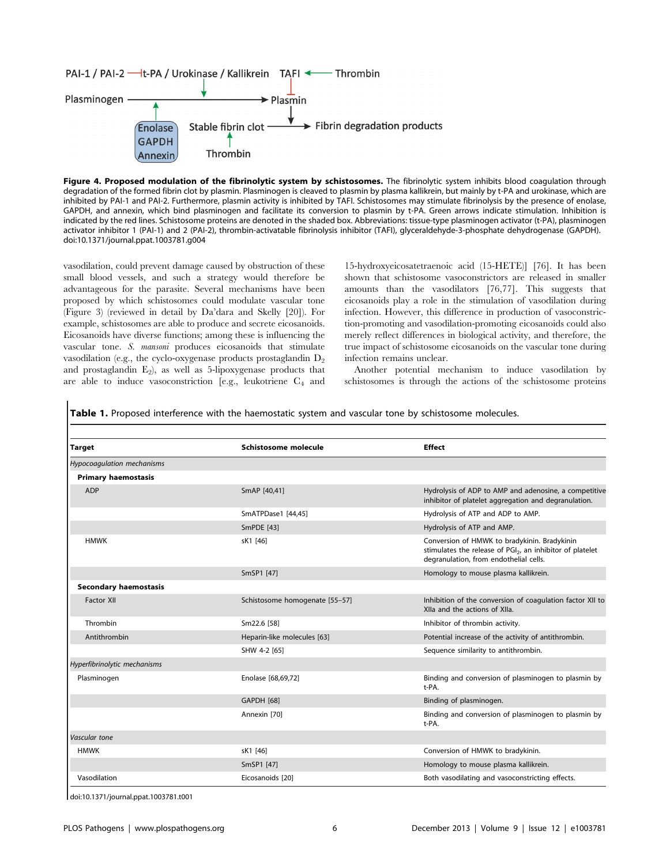

Figure 4. Proposed modulation of the fibrinolytic system by schistosomes. The fibrinolytic system inhibits blood coagulation through degradation of the formed fibrin clot by plasmin. Plasminogen is cleaved to plasmin by plasma kallikrein, but mainly by t-PA and urokinase, which are inhibited by PAI-1 and PAI-2. Furthermore, plasmin activity is inhibited by TAFI. Schistosomes may stimulate fibrinolysis by the presence of enolase, GAPDH, and annexin, which bind plasminogen and facilitate its conversion to plasmin by t-PA. Green arrows indicate stimulation. Inhibition is indicated by the red lines. Schistosome proteins are denoted in the shaded box. Abbreviations: tissue-type plasminogen activator (t-PA), plasminogen activator inhibitor 1 (PAI-1) and 2 (PAI-2), thrombin-activatable fibrinolysis inhibitor (TAFI), glyceraldehyde-3-phosphate dehydrogenase (GAPDH). doi:10.1371/journal.ppat.1003781.g004

vasodilation, could prevent damage caused by obstruction of these small blood vessels, and such a strategy would therefore be advantageous for the parasite. Several mechanisms have been proposed by which schistosomes could modulate vascular tone (Figure 3) (reviewed in detail by Da'dara and Skelly [20]). For example, schistosomes are able to produce and secrete eicosanoids. Eicosanoids have diverse functions; among these is influencing the vascular tone. S. mansoni produces eicosanoids that stimulate vasodilation (e.g., the cyclo-oxygenase products prostaglandin  $D_2$ ) and prostaglandin  $E_2$ ), as well as 5-lipoxygenase products that are able to induce vasoconstriction [e.g., leukotriene C4 and

15-hydroxyeicosatetraenoic acid (15-HETE)] [76]. It has been shown that schistosome vasoconstrictors are released in smaller amounts than the vasodilators [76,77]. This suggests that eicosanoids play a role in the stimulation of vasodilation during infection. However, this difference in production of vasoconstriction-promoting and vasodilation-promoting eicosanoids could also merely reflect differences in biological activity, and therefore, the true impact of schistosome eicosanoids on the vascular tone during infection remains unclear.

Another potential mechanism to induce vasodilation by schistosomes is through the actions of the schistosome proteins

Table 1. Proposed interference with the haemostatic system and vascular tone by schistosome molecules.

| <b>Target</b>                | Schistosome molecule           | <b>Effect</b>                                                                                                                                                   |
|------------------------------|--------------------------------|-----------------------------------------------------------------------------------------------------------------------------------------------------------------|
| Hypocoagulation mechanisms   |                                |                                                                                                                                                                 |
| <b>Primary haemostasis</b>   |                                |                                                                                                                                                                 |
| <b>ADP</b>                   | SmAP [40,41]                   | Hydrolysis of ADP to AMP and adenosine, a competitive<br>inhibitor of platelet aggregation and degranulation.                                                   |
|                              | SmATPDase1 [44,45]             | Hydrolysis of ATP and ADP to AMP.                                                                                                                               |
|                              | SmPDE [43]                     | Hydrolysis of ATP and AMP.                                                                                                                                      |
| <b>HMWK</b>                  | sK1 [46]                       | Conversion of HMWK to bradykinin. Bradykinin<br>stimulates the release of PGI <sub>2</sub> , an inhibitor of platelet<br>degranulation, from endothelial cells. |
|                              | SmSP1 [47]                     | Homology to mouse plasma kallikrein.                                                                                                                            |
| <b>Secondary haemostasis</b> |                                |                                                                                                                                                                 |
| <b>Factor XII</b>            | Schistosome homogenate [55-57] | Inhibition of the conversion of coagulation factor XII to<br>XIIa and the actions of XIIa.                                                                      |
| Thrombin                     | Sm22.6 [58]                    | Inhibitor of thrombin activity.                                                                                                                                 |
| Antithrombin                 | Heparin-like molecules [63]    | Potential increase of the activity of antithrombin.                                                                                                             |
|                              | SHW 4-2 [65]                   | Sequence similarity to antithrombin.                                                                                                                            |
| Hyperfibrinolytic mechanisms |                                |                                                                                                                                                                 |
| Plasminogen                  | Enolase [68,69,72]             | Binding and conversion of plasminogen to plasmin by<br>t-PA.                                                                                                    |
|                              | <b>GAPDH [68]</b>              | Binding of plasminogen.                                                                                                                                         |
|                              | Annexin [70]                   | Binding and conversion of plasminogen to plasmin by<br>t-PA.                                                                                                    |
| Vascular tone                |                                |                                                                                                                                                                 |
| <b>HMWK</b>                  | sK1 [46]                       | Conversion of HMWK to bradykinin.                                                                                                                               |
|                              | SmSP1 [47]                     | Homology to mouse plasma kallikrein.                                                                                                                            |
| Vasodilation                 | Eicosanoids [20]               | Both vasodilating and vasoconstricting effects.                                                                                                                 |

doi:10.1371/journal.ppat.1003781.t001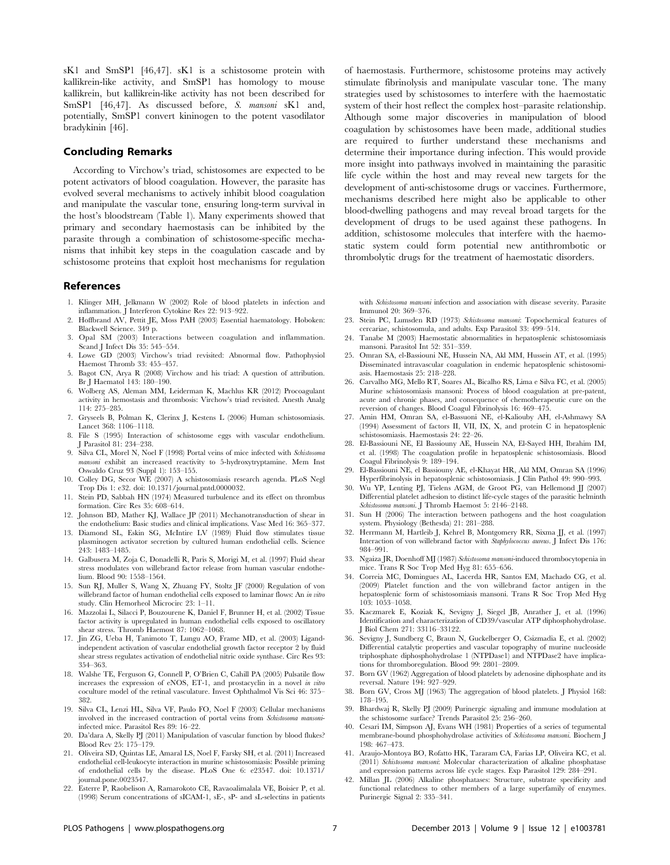sK1 and SmSP1 [46,47]. sK1 is a schistosome protein with kallikrein-like activity, and SmSP1 has homology to mouse kallikrein, but kallikrein-like activity has not been described for SmSP1 [46,47]. As discussed before, S. mansoni sK1 and, potentially, SmSP1 convert kininogen to the potent vasodilator bradykinin [46].

#### Concluding Remarks

According to Virchow's triad, schistosomes are expected to be potent activators of blood coagulation. However, the parasite has evolved several mechanisms to actively inhibit blood coagulation and manipulate the vascular tone, ensuring long-term survival in the host's bloodstream (Table 1). Many experiments showed that primary and secondary haemostasis can be inhibited by the parasite through a combination of schistosome-specific mechanisms that inhibit key steps in the coagulation cascade and by schistosome proteins that exploit host mechanisms for regulation

#### References

- 1. Klinger MH, Jelkmann W (2002) Role of blood platelets in infection and inflammation. J Interferon Cytokine Res 22: 913–922.
- 2. Hoffbrand AV, Pettit JE, Moss PAH (2003) Essential haematology. Hoboken: Blackwell Science. 349 p.
- 3. Opal SM (2003) Interactions between coagulation and inflammation. Scand J Infect Dis 35: 545–554.
- 4. Lowe GD (2003) Virchow's triad revisited: Abnormal flow. Pathophysiol Haemost Thromb 33: 455–457.
- 5. Bagot CN, Arya R (2008) Virchow and his triad: A question of attribution. Br J Haematol 143: 180–190.
- 6. Wolberg AS, Aleman MM, Leiderman K, Machlus KR (2012) Procoagulant activity in hemostasis and thrombosis: Virchow's triad revisited. Anesth Analg 114: 275–285.
- 7. Gryseels B, Polman K, Clerinx J, Kestens L (2006) Human schistosomiasis. Lancet 368: 1106–1118.
- 8. File S (1995) Interaction of schistosome eggs with vascular endothelium. J Parasitol 81: 234–238.
- 9. Silva CL, Morel N, Noel F (1998) Portal veins of mice infected with Schistosoma mansoni exhibit an increased reactivity to 5-hydroxytryptamine. Mem Inst Oswaldo Cruz 93 (Suppl 1): 153–155.
- 10. Colley DG, Secor WE (2007) A schistosomiasis research agenda. PLoS Negl Trop Dis 1: e32. doi: 10.1371/journal.pntd.0000032.
- 11. Stein PD, Sabbah HN (1974) Measured turbulence and its effect on thrombus formation. Circ Res 35: 608–614.
- 12. Johnson BD, Mather KJ, Wallace JP (2011) Mechanotransduction of shear in the endothelium: Basic studies and clinical implications. Vasc Med 16: 365–377.
- 13. Diamond SL, Eskin SG, McIntire LV (1989) Fluid flow stimulates tissue plasminogen activator secretion by cultured human endothelial cells. Science 243: 1483–1485.
- 14. Galbusera M, Zoja C, Donadelli R, Paris S, Morigi M, et al. (1997) Fluid shear stress modulates von willebrand factor release from human vascular endothelium. Blood 90: 1558–1564.
- 15. Sun RJ, Muller S, Wang X, Zhuang FY, Stoltz JF (2000) Regulation of von willebrand factor of human endothelial cells exposed to laminar flows: An in vitro study. Clin Hemorheol Microcirc 23: 1–11.
- 16. Mazzolai L, Silacci P, Bouzourene K, Daniel F, Brunner H, et al. (2002) Tissue factor activity is upregulated in human endothelial cells exposed to oscillatory shear stress. Thromb Haemost 87: 1062–1068.
- 17. Jin ZG, Ueba H, Tanimoto T, Lungu AO, Frame MD, et al. (2003) Ligandindependent activation of vascular endothelial growth factor receptor 2 by fluid shear stress regulates activation of endothelial nitric oxide synthase. Circ Res 93: 354–363.
- 18. Walshe TE, Ferguson G, Connell P, O'Brien C, Cahill PA (2005) Pulsatile flow increases the expression of eNOS, ET-1, and prostacyclin in a novel in vitro coculture model of the retinal vasculature. Invest Ophthalmol Vis Sci 46: 375– 382.
- 19. Silva CL, Lenzi HL, Silva VF, Paulo FO, Noel F (2003) Cellular mechanisms involved in the increased contraction of portal veins from Schistosoma mansoniinfected mice. Parasitol Res 89: 16–22.
- 20. Da'dara A, Skelly PJ (2011) Manipulation of vascular function by blood flukes? Blood Rev 25: 175–179.
- 21. Oliveira SD, Quintas LE, Amaral LS, Noel F, Farsky SH, et al. (2011) Increased endothelial cell-leukocyte interaction in murine schistosomiasis: Possible priming of endothelial cells by the disease. PLoS One 6: e23547. doi: 10.1371/ journal.pone.0023547.
- 22. Esterre P, Raobelison A, Ramarokoto CE, Ravaoalimalala VE, Boisier P, et al. (1998) Serum concentrations of sICAM-1, sE-, sP- and sL-selectins in patients

of haemostasis. Furthermore, schistosome proteins may actively stimulate fibrinolysis and manipulate vascular tone. The many strategies used by schistosomes to interfere with the haemostatic system of their host reflect the complex host–parasite relationship. Although some major discoveries in manipulation of blood coagulation by schistosomes have been made, additional studies are required to further understand these mechanisms and determine their importance during infection. This would provide more insight into pathways involved in maintaining the parasitic life cycle within the host and may reveal new targets for the development of anti-schistosome drugs or vaccines. Furthermore, mechanisms described here might also be applicable to other blood-dwelling pathogens and may reveal broad targets for the development of drugs to be used against these pathogens. In addition, schistosome molecules that interfere with the haemostatic system could form potential new antithrombotic or thrombolytic drugs for the treatment of haemostatic disorders.

with Schistosoma mansoni infection and association with disease severity. Parasite Immunol 20: 369–376.

- 23. Stein PC, Lumsden RD (1973) Schistosoma mansoni: Topochemical features of cercariae, schistosomula, and adults. Exp Parasitol 33: 499–514.
- 24. Tanabe M (2003) Haemostatic abnormalities in hepatosplenic schistosomiasis mansoni. Parasitol Int 52: 351–359.
- 25. Omran SA, el-Bassiouni NE, Hussein NA, Akl MM, Hussein AT, et al. (1995) Disseminated intravascular coagulation in endemic hepatosplenic schistosomiasis. Haemostasis 25: 218–228.
- 26. Carvalho MG, Mello RT, Soares AL, Bicalho RS, Lima e Silva FC, et al. (2005) Murine schistosomiasis mansoni: Process of blood coagulation at pre-patent, acute and chronic phases, and consequence of chemotherapeutic cure on the reversion of changes. Blood Coagul Fibrinolysis 16: 469–475.
- 27. Amin HM, Omran SA, el-Bassuoni NE, el-Kaliouby AH, el-Ashmawy SA (1994) Assessment of factors II, VII, IX, X, and protein C in hepatosplenic schistosomiasis. Haemostasis 24: 22–26.
- 28. El-Bassiouni NE, El Bassiouny AE, Hussein NA, El-Sayed HH, Ibrahim IM, et al. (1998) The coagulation profile in hepatosplenic schistosomiasis. Blood Coagul Fibrinolysis 9: 189–194.
- 29. El-Bassiouni NE, el Bassiouny AE, el-Khayat HR, Akl MM, Omran SA (1996) Hyperfibrinolysis in hepatosplenic schistosomiasis. J Clin Pathol 49: 990–993.
- 30. Wu YP, Lenting PJ, Tielens AGM, de Groot PG, van Hellemond JJ (2007) Differential platelet adhesion to distinct life-cycle stages of the parasitic helminth Schistosoma mansoni. J Thromb Haemost 5: 2146–2148.
- 31. Sun H (2006) The interaction between pathogens and the host coagulation system. Physiology (Bethesda) 21: 281–288.
- 32. Herrmann M, Hartleib J, Kehrel B, Montgomery RR, Sixma JJ, et al. (1997) Interaction of von willebrand factor with Staphylococcus aureus. J Infect Dis 176: 984–991.
- 33. Ngaiza JR, Doenhoff MJ (1987) Schistosoma mansoni-induced thrombocytopenia in mice. Trans R Soc Trop Med Hyg 81: 655–656.
- 34. Correia MC, Domingues AL, Lacerda HR, Santos EM, Machado CG, et al. (2009) Platelet function and the von willebrand factor antigen in the hepatosplenic form of schistosomiasis mansoni. Trans R Soc Trop Med Hyg 103: 1053–1058.
- 35. Kaczmarek E, Koziak K, Sevigny J, Siegel JB, Anrather J, et al. (1996) Identification and characterization of CD39/vascular ATP diphosphohydrolase. J Biol Chem 271: 33116–33122.
- 36. Sevigny J, Sundberg C, Braun N, Guckelberger O, Csizmadia E, et al. (2002) Differential catalytic properties and vascular topography of murine nucleoside triphosphate diphosphohydrolase 1 (NTPDase1) and NTPDase2 have implications for thromboregulation. Blood 99: 2801–2809.
- 37. Born GV (1962) Aggregation of blood platelets by adenosine diphosphate and its reversal. Nature 194: 927–929.
- 38. Born GV, Cross MJ (1963) The aggregation of blood platelets. J Physiol 168: 178–195.
- 39. Bhardwaj R, Skelly PJ (2009) Purinergic signaling and immune modulation at the schistosome surface? Trends Parasitol 25: 256–260.
- 40. Cesari IM, Simpson AJ, Evans WH (1981) Properties of a series of tegumental membrane-bound phosphohydrolase activities of Schistosoma mansoni. Biochem J 198: 467–473.
- 41. Araujo-Montoya BO, Rofatto HK, Tararam CA, Farias LP, Oliveira KC, et al. (2011) Schistosoma mansoni: Molecular characterization of alkaline phosphatase and expression patterns across life cycle stages. Exp Parasitol 129: 284–291.
- 42. Millan JL (2006) Alkaline phosphatases: Structure, substrate specificity and functional relatedness to other members of a large superfamily of enzymes. Purinergic Signal 2: 335–341.